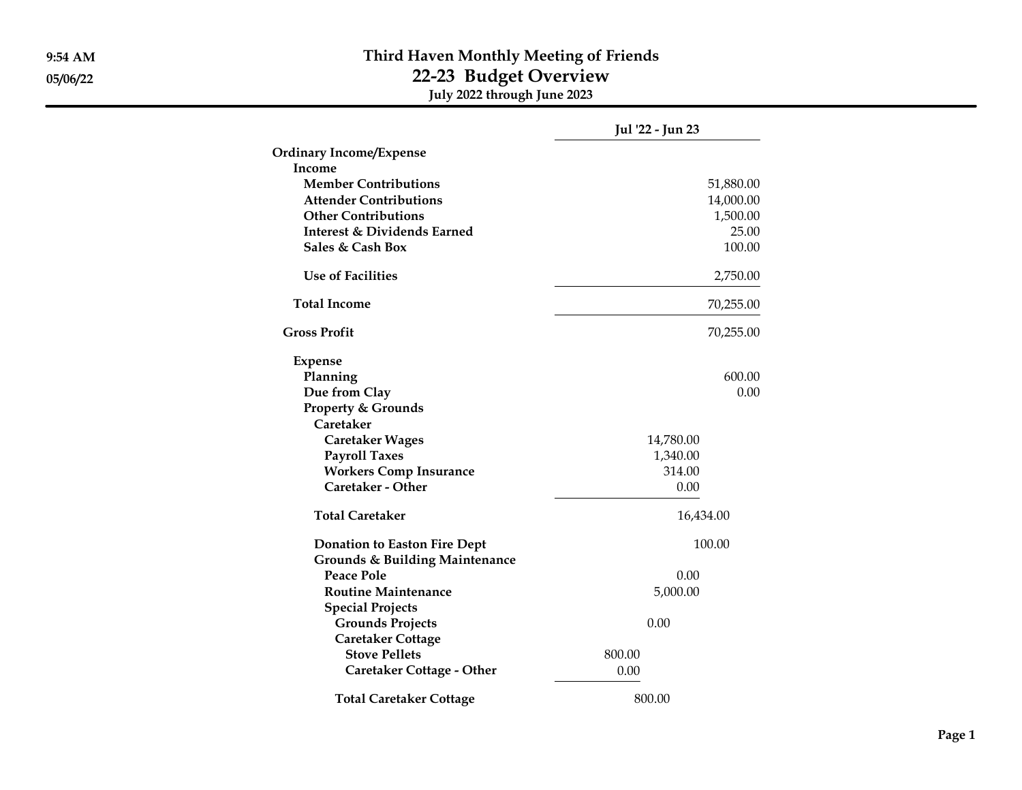## 9:54 AM Third Haven Monthly Meeting of Friends 05/06/22 22-23 Budget Overview July 2022 through June 2023

|                                           | Jul '22 - Jun 23 |
|-------------------------------------------|------------------|
| <b>Ordinary Income/Expense</b>            |                  |
| Income                                    |                  |
| <b>Member Contributions</b>               | 51,880.00        |
| <b>Attender Contributions</b>             | 14,000.00        |
| <b>Other Contributions</b>                | 1,500.00         |
| <b>Interest &amp; Dividends Earned</b>    | 25.00            |
| Sales & Cash Box                          | 100.00           |
| <b>Use of Facilities</b>                  | 2,750.00         |
| <b>Total Income</b>                       | 70,255.00        |
| <b>Gross Profit</b>                       | 70,255.00        |
| <b>Expense</b>                            |                  |
| Planning                                  | 600.00           |
| Due from Clay                             | 0.00             |
| <b>Property &amp; Grounds</b>             |                  |
| Caretaker                                 |                  |
| <b>Caretaker Wages</b>                    | 14,780.00        |
| <b>Payroll Taxes</b>                      | 1,340.00         |
| <b>Workers Comp Insurance</b>             | 314.00           |
| Caretaker - Other                         | 0.00             |
| <b>Total Caretaker</b>                    | 16,434.00        |
| <b>Donation to Easton Fire Dept</b>       | 100.00           |
| <b>Grounds &amp; Building Maintenance</b> |                  |
| <b>Peace Pole</b>                         | 0.00             |
| <b>Routine Maintenance</b>                | 5,000.00         |
| <b>Special Projects</b>                   |                  |
| <b>Grounds Projects</b>                   | 0.00             |
| <b>Caretaker Cottage</b>                  |                  |
| <b>Stove Pellets</b>                      | 800.00           |
| <b>Caretaker Cottage - Other</b>          | 0.00             |
| <b>Total Caretaker Cottage</b>            | 800.00           |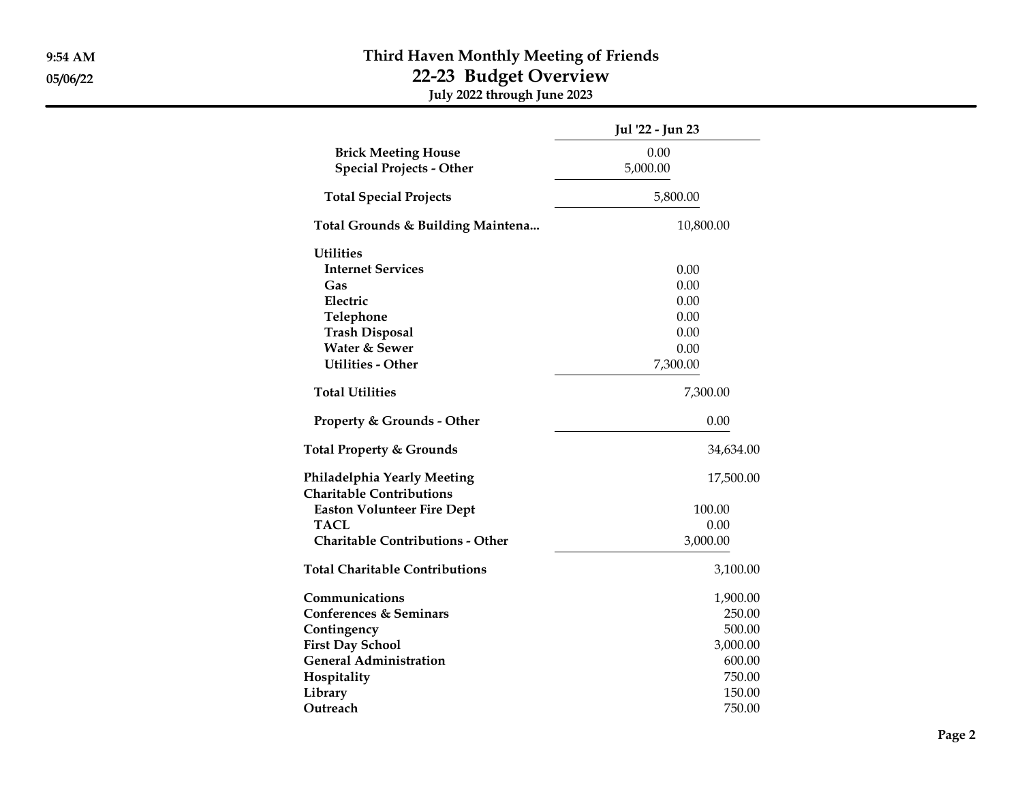## 9:54 AM Third Haven Monthly Meeting of Friends 05/06/22 22-23 Budget Overview July 2022 through June 2023

|                                                                | Jul '22 - Jun 23 |
|----------------------------------------------------------------|------------------|
| <b>Brick Meeting House</b><br><b>Special Projects - Other</b>  | 0.00<br>5,000.00 |
| <b>Total Special Projects</b>                                  | 5,800.00         |
| Total Grounds & Building Maintena                              | 10,800.00        |
| <b>Utilities</b>                                               |                  |
| <b>Internet Services</b>                                       | 0.00             |
| Gas                                                            | 0.00             |
| Electric                                                       | 0.00             |
| Telephone                                                      | 0.00             |
| <b>Trash Disposal</b>                                          | 0.00             |
| Water & Sewer                                                  | 0.00             |
| <b>Utilities - Other</b>                                       | 7,300.00         |
| <b>Total Utilities</b>                                         | 7,300.00         |
| <b>Property &amp; Grounds - Other</b>                          | 0.00             |
| <b>Total Property &amp; Grounds</b>                            | 34,634.00        |
| Philadelphia Yearly Meeting<br><b>Charitable Contributions</b> | 17,500.00        |
| <b>Easton Volunteer Fire Dept</b>                              | 100.00           |
| TACL                                                           | 0.00             |
| <b>Charitable Contributions - Other</b>                        | 3,000.00         |
| <b>Total Charitable Contributions</b>                          | 3,100.00         |
| Communications                                                 | 1,900.00         |
| <b>Conferences &amp; Seminars</b>                              | 250.00           |
| Contingency                                                    | 500.00           |
| <b>First Day School</b>                                        | 3,000.00         |
| <b>General Administration</b>                                  | 600.00           |
| Hospitality                                                    | 750.00           |
| Library                                                        | 150.00           |
| Outreach                                                       | 750.00           |